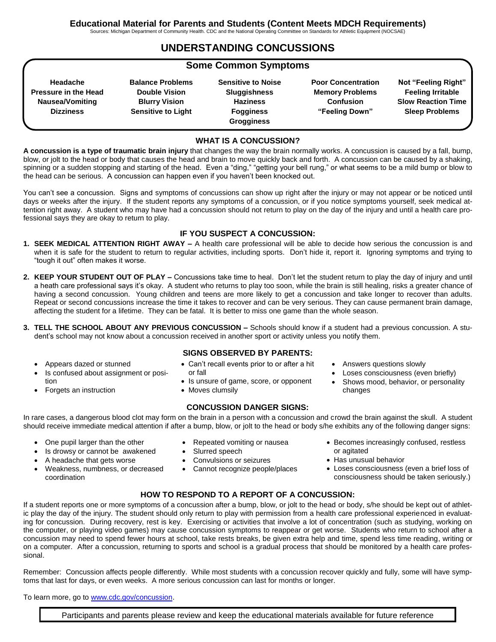Sources: Michigan Department of Community Health. CDC and the National Operating Committee on Standards for Athletic Equipment (NOCSAE)

## **UNDERSTANDING CONCUSSIONS**

### **Some Common Symptoms**

**Headache Pressure in the Head Nausea/Vomiting Dizziness**

**Balance Problems Double Vision Blurry Vision Sensitive to Light**

**Sensitive to Noise Sluggishness Haziness Fogginess Grogginess**

**Poor Concentration Memory Problems Confusion "Feeling Down"**

**Not "Feeling Right" Feeling Irritable Slow Reaction Time Sleep Problems**

#### **WHAT IS A CONCUSSION?**

**A concussion is a type of traumatic brain injury** that changes the way the brain normally works. A concussion is caused by a fall, bump, blow, or jolt to the head or body that causes the head and brain to move quickly back and forth. A concussion can be caused by a shaking, spinning or a sudden stopping and starting of the head. Even a "ding," "getting your bell rung," or what seems to be a mild bump or blow to the head can be serious. A concussion can happen even if you haven't been knocked out.

You can't see a concussion. Signs and symptoms of concussions can show up right after the injury or may not appear or be noticed until days or weeks after the injury. If the student reports any symptoms of a concussion, or if you notice symptoms yourself, seek medical attention right away. A student who may have had a concussion should not return to play on the day of the injury and until a health care professional says they are okay to return to play.

#### **IF YOU SUSPECT A CONCUSSION:**

- **1. SEEK MEDICAL ATTENTION RIGHT AWAY –** A health care professional will be able to decide how serious the concussion is and when it is safe for the student to return to regular activities, including sports. Don't hide it, report it. Ignoring symptoms and trying to "tough it out" often makes it worse.
- **2. KEEP YOUR STUDENT OUT OF PLAY –** Concussions take time to heal. Don't let the student return to play the day of injury and until a heath care professional says it's okay. A student who returns to play too soon, while the brain is still healing, risks a greater chance of having a second concussion. Young children and teens are more likely to get a concussion and take longer to recover than adults. Repeat or second concussions increase the time it takes to recover and can be very serious. They can cause permanent brain damage, affecting the student for a lifetime. They can be fatal. It is better to miss one game than the whole season.
- **3. TELL THE SCHOOL ABOUT ANY PREVIOUS CONCUSSION –** Schools should know if a student had a previous concussion. A student's school may not know about a concussion received in another sport or activity unless you notify them.
	- Appears dazed or stunned
	- Is confused about assignment or position
	- Forgets an instruction
- **SIGNS OBSERVED BY PARENTS:**
- Can't recall events prior to or after a hit or fall
- Is unsure of game, score, or opponent
- Moves clumsily

#### **CONCUSSION DANGER SIGNS:**

In rare cases, a dangerous blood clot may form on the brain in a person with a concussion and crowd the brain against the skull. A student should receive immediate medical attention if after a bump, blow, or jolt to the head or body s/he exhibits any of the following danger signs:

- One pupil larger than the other
- Repeated vomiting or nausea Slurred speech
	- Convulsions or seizures
	- Cannot recognize people/places
- Answers questions slowly
- Loses consciousness (even briefly)
- Shows mood, behavior, or personality changes

- - Is drowsy or cannot be awakened
- A headache that gets worse
- Weakness, numbness, or decreased coordination
- Becomes increasingly confused, restless or agitated
	- Has unusual behavior
	- Loses consciousness (even a brief loss of consciousness should be taken seriously.)

#### **HOW TO RESPOND TO A REPORT OF A CONCUSSION:**

If a student reports one or more symptoms of a concussion after a bump, blow, or jolt to the head or body, s/he should be kept out of athletic play the day of the injury. The student should only return to play with permission from a health care professional experienced in evaluating for concussion. During recovery, rest is key. Exercising or activities that involve a lot of concentration (such as studying, working on the computer, or playing video games) may cause concussion symptoms to reappear or get worse. Students who return to school after a concussion may need to spend fewer hours at school, take rests breaks, be given extra help and time, spend less time reading, writing or on a computer. After a concussion, returning to sports and school is a gradual process that should be monitored by a health care professional.

Remember: Concussion affects people differently. While most students with a concussion recover quickly and fully, some will have symptoms that last for days, or even weeks. A more serious concussion can last for months or longer.

To learn more, go to [www.cdc.gov/concussion.](http://www.cdc.gov/concussion)

Participants and parents please review and keep the educational materials available for future reference